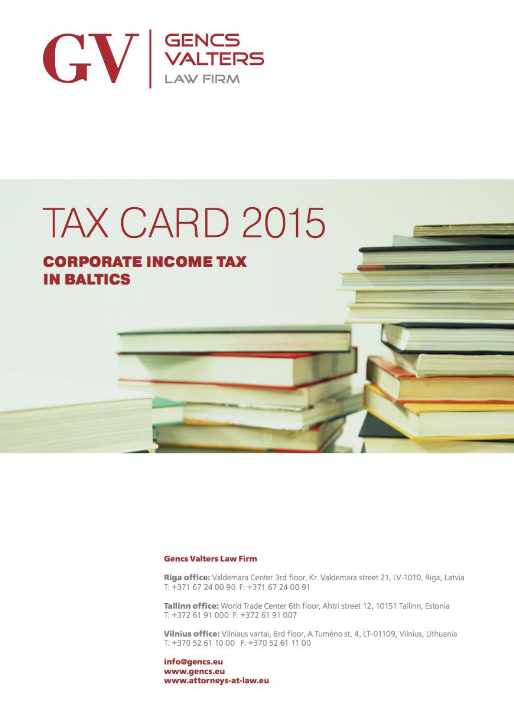

# TAX CARD 2015

# **CORPORATE INCOME TAX IN BALTICS**

#### **Gencs Valters Law Firm**

Riga office: Valdemara Center 3rd floor, Kr. Valdemara street 21, LV-1010, Riga, Latvia T: +371 67 24 00 90 F: +371 67 24 00 91

Tallinn office: World Trade Center 6th floor, Ahtri street 12, 10151 Tallinn, Estonia T: +372 61 91 000 F: +372 61 91 007

Vilnius office: Vilniaus vartai, 6rd floor, A.Tumėno st. 4, LT-01109, Vilnius, Lithuania T: +370 52 61 10 00 F: +370 52 61 11 00

info@gencs.eu www.gencs.eu www.attorneys-at-law.eu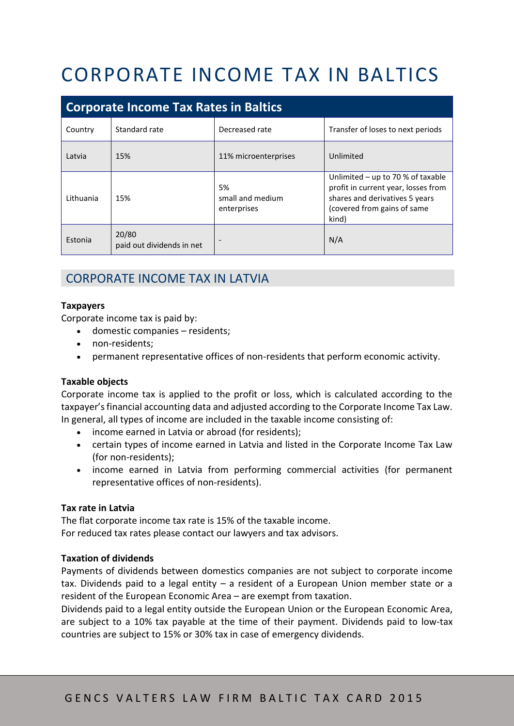# CORPORATE INCOME TAX IN BALTICS

| <b>Corporate Income Tax Rates in Baltics</b> |                                    |                                       |                                                                                                                                                    |
|----------------------------------------------|------------------------------------|---------------------------------------|----------------------------------------------------------------------------------------------------------------------------------------------------|
| Country                                      | Standard rate                      | Decreased rate                        | Transfer of loses to next periods                                                                                                                  |
| Latvia                                       | 15%                                | 11% microenterprises                  | Unlimited                                                                                                                                          |
| Lithuania                                    | 15%                                | 5%<br>small and medium<br>enterprises | Unlimited - up to 70 % of taxable<br>profit in current year, losses from<br>shares and derivatives 5 years<br>(covered from gains of same<br>kind) |
| Estonia                                      | 20/80<br>paid out dividends in net |                                       | N/A                                                                                                                                                |

# CORPORATE INCOME TAX IN LATVIA

#### **Taxpayers**

Corporate income tax is paid by:

- domestic companies residents;
- non-residents;
- permanent representative offices of non-residents that perform economic activity.

#### **Taxable objects**

Corporate income tax is applied to the profit or loss, which is calculated according to the taxpayer's financial accounting data and adjusted according to the Corporate Income Tax Law. In general, all types of income are included in the taxable income consisting of:

- income earned in Latvia or abroad (for residents);
- certain types of income earned in Latvia and listed in the Corporate Income Tax Law (for non-residents);
- income earned in Latvia from performing commercial activities (for permanent representative offices of non-residents).

#### **Tax rate in Latvia**

The flat corporate income tax rate is 15% of the taxable income. For reduced tax rates please contact our lawyers and tax advisors.

#### **Taxation of dividends**

Payments of dividends between domestics companies are not subject to corporate income tax. Dividends paid to a legal entity – a resident of a European Union member state or a resident of the European Economic Area – are exempt from taxation.

Dividends paid to a legal entity outside the European Union or the European Economic Area, are subject to a 10% tax payable at the time of their payment. Dividends paid to low-tax countries are subject to 15% or 30% tax in case of emergency dividends.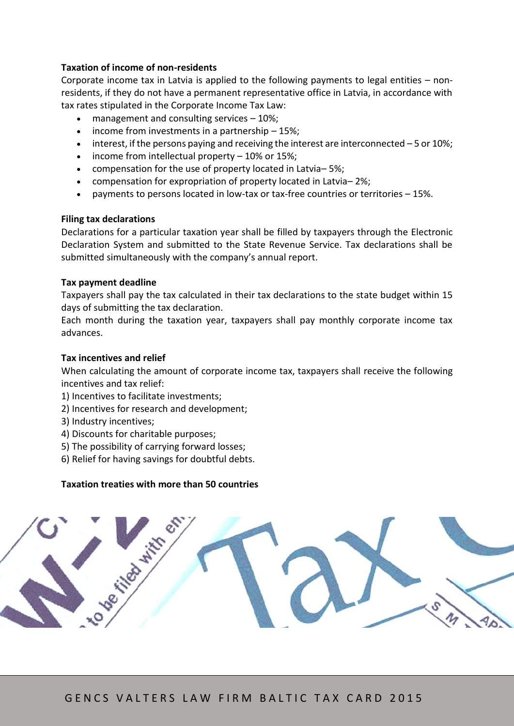#### **Taxation of income of non-residents**

Corporate income tax in Latvia is applied to the following payments to legal entities – nonresidents, if they do not have a permanent representative office in Latvia, in accordance with tax rates stipulated in the Corporate Income Tax Law:

- management and consulting services 10%;
- $\bullet$  income from investments in a partnership  $-15\%$ ;
- $\bullet$  interest, if the persons paying and receiving the interest are interconnected 5 or 10%;
- $\bullet$  income from intellectual property  $-10\%$  or 15%;
- compensation for the use of property located in Latvia– 5%;
- compensation for expropriation of property located in Latvia– 2%;
- payments to persons located in low-tax or tax-free countries or territories 15%.

#### **Filing tax declarations**

Declarations for a particular taxation year shall be filled by taxpayers through the Electronic Declaration System and submitted to the State Revenue Service. Tax declarations shall be submitted simultaneously with the company's annual report.

#### **Tax payment deadline**

Taxpayers shall pay the tax calculated in their tax declarations to the state budget within 15 days of submitting the tax declaration.

Each month during the taxation year, taxpayers shall pay monthly corporate income tax advances.

#### **Tax incentives and relief**

When calculating the amount of corporate income tax, taxpayers shall receive the following incentives and tax relief:

- 1) Incentives to facilitate investments;
- 2) Incentives for research and development;
- 3) Industry incentives;
- 4) Discounts for charitable purposes;
- 5) The possibility of carrying forward losses;
- 6) Relief for having savings for doubtful debts.

#### **Taxation treaties with more than 50 countries**

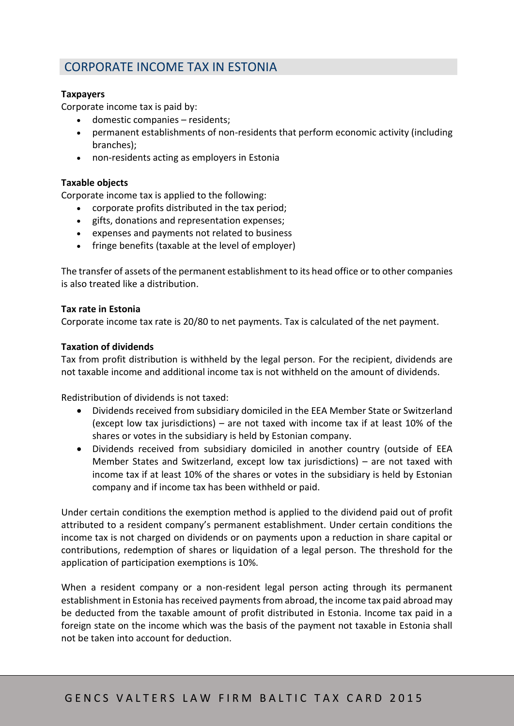### CORPORATE INCOME TAX IN ESTONIA

#### **Taxpayers**

Corporate income tax is paid by:

- domestic companies residents;
- permanent establishments of non-residents that perform economic activity (including branches);
- non-residents acting as employers in Estonia

#### **Taxable objects**

Corporate income tax is applied to the following:

- corporate profits distributed in the tax period;
- gifts, donations and representation expenses;
- expenses and payments not related to business
- fringe benefits (taxable at the level of employer)

The transfer of assets of the permanent establishment to its head office or to other companies is also treated like a distribution.

#### **Tax rate in Estonia**

Corporate income tax rate is 20/80 to net payments. Tax is calculated of the net payment.

#### **Taxation of dividends**

Tax from profit distribution is withheld by the legal person. For the recipient, dividends are not taxable income and additional income tax is not withheld on the amount of dividends.

Redistribution of dividends is not taxed:

- Dividends received from subsidiary domiciled in the EEA Member State or Switzerland (except low tax jurisdictions) – are not taxed with income tax if at least 10% of the shares or votes in the subsidiary is held by Estonian company.
- Dividends received from subsidiary domiciled in another country (outside of EEA Member States and Switzerland, except low tax jurisdictions) – are not taxed with income tax if at least 10% of the shares or votes in the subsidiary is held by Estonian company and if income tax has been withheld or paid.

Under certain conditions the exemption method is applied to the dividend paid out of profit attributed to a resident company's permanent establishment. Under certain conditions the income tax is not charged on dividends or on payments upon a reduction in share capital or contributions, redemption of shares or liquidation of a legal person. The threshold for the application of participation exemptions is 10%.

When a resident company or a non-resident legal person acting through its permanent establishment in Estonia has received payments from abroad, the income tax paid abroad may be deducted from the taxable amount of profit distributed in Estonia. Income tax paid in a foreign state on the income which was the basis of the payment not taxable in Estonia shall not be taken into account for deduction.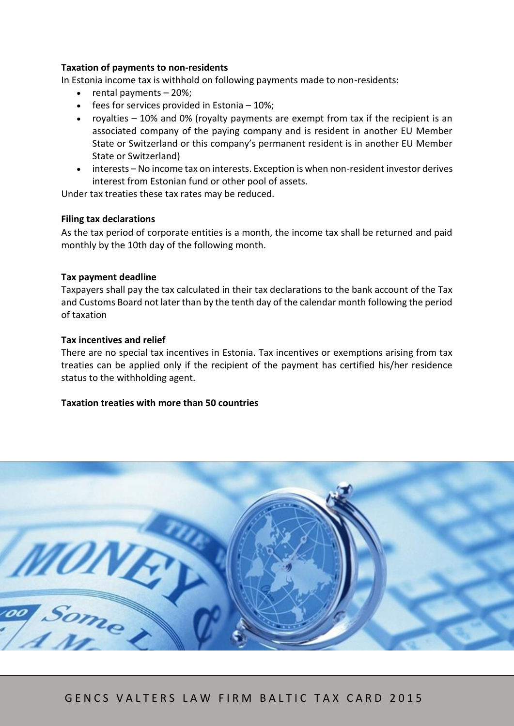#### **Taxation of payments to non-residents**

In Estonia income tax is withhold on following payments made to non-residents:

- rental payments 20%;
- $\bullet$  fees for services provided in Estonia 10%;
- royalties 10% and 0% (royalty payments are exempt from tax if the recipient is an associated company of the paying company and is resident in another EU Member State or Switzerland or this company's permanent resident is in another EU Member State or Switzerland)
- interests No income tax on interests. Exception is when non-resident investor derives interest from Estonian fund or other pool of assets.

Under tax treaties these tax rates may be reduced.

#### **Filing tax declarations**

As the tax period of corporate entities is a month, the income tax shall be returned and paid monthly by the 10th day of the following month.

#### **Tax payment deadline**

Taxpayers shall pay the tax calculated in their tax declarations to the bank account of the Tax and Customs Board not later than by the tenth day of the calendar month following the period of taxation

#### **Tax incentives and relief**

There are no special tax incentives in Estonia. Tax incentives or exemptions arising from tax treaties can be applied only if the recipient of the payment has certified his/her residence status to the withholding agent.

#### **Taxation treaties with more than 50 countries**

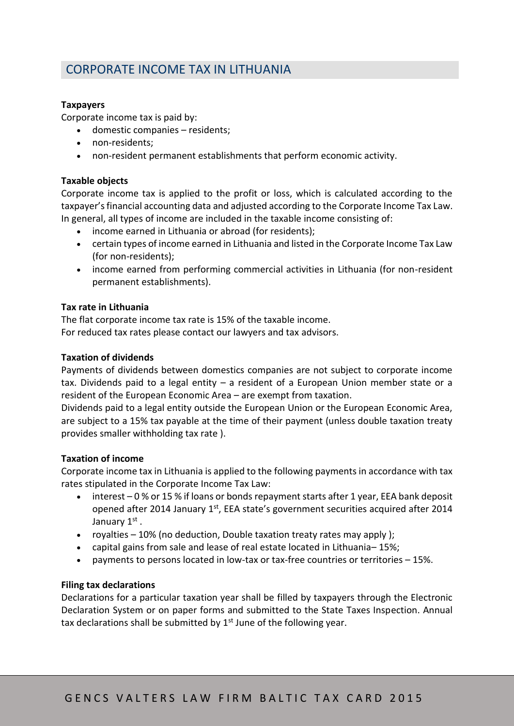# CORPORATE INCOME TAX IN LITHUANIA

#### **Taxpayers**

Corporate income tax is paid by:

- domestic companies residents;
- non-residents;
- non-resident permanent establishments that perform economic activity.

#### **Taxable objects**

Corporate income tax is applied to the profit or loss, which is calculated according to the taxpayer's financial accounting data and adjusted according to the Corporate Income Tax Law. In general, all types of income are included in the taxable income consisting of:

- income earned in Lithuania or abroad (for residents);
- certain types of income earned in Lithuania and listed in the Corporate Income Tax Law (for non-residents);
- income earned from performing commercial activities in Lithuania (for non-resident permanent establishments).

#### **Tax rate in Lithuania**

The flat corporate income tax rate is 15% of the taxable income. For reduced tax rates please contact our lawyers and tax advisors.

#### **Taxation of dividends**

Payments of dividends between domestics companies are not subject to corporate income tax. Dividends paid to a legal entity – a resident of a European Union member state or a resident of the European Economic Area – are exempt from taxation.

Dividends paid to a legal entity outside the European Union or the European Economic Area, are subject to a 15% tax payable at the time of their payment (unless double taxation treaty provides smaller withholding tax rate ).

#### **Taxation of income**

Corporate income tax in Lithuania is applied to the following payments in accordance with tax rates stipulated in the Corporate Income Tax Law:

- interest 0 % or 15 % if loans or bonds repayment starts after 1 year, EEA bank deposit opened after 2014 January 1<sup>st</sup>, EEA state's government securities acquired after 2014 January 1st.
- royalties  $-10\%$  (no deduction, Double taxation treaty rates may apply);
- capital gains from sale and lease of real estate located in Lithuania– 15%;
- payments to persons located in low-tax or tax-free countries or territories 15%.

#### **Filing tax declarations**

Declarations for a particular taxation year shall be filled by taxpayers through the Electronic Declaration System or on paper forms and submitted to the State Taxes Inspection. Annual tax declarations shall be submitted by  $1<sup>st</sup>$  June of the following year.